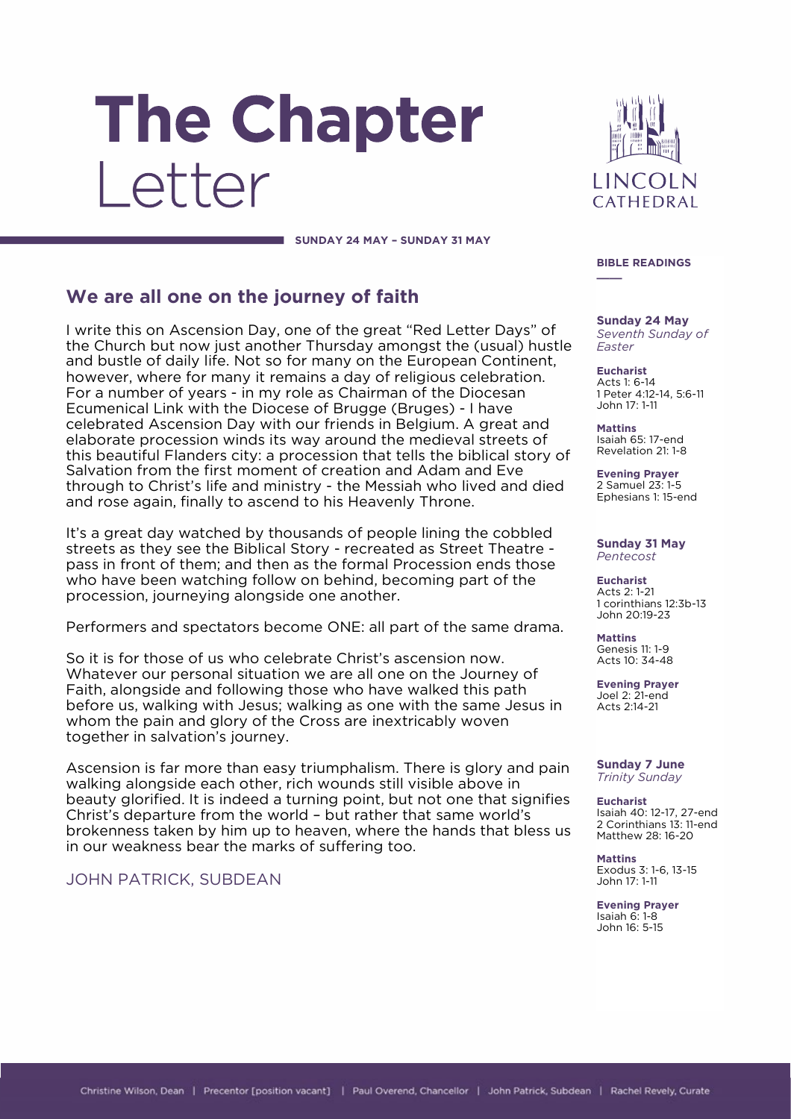# The Chapter Letter

**LINCOLN** CATHEDRAL

**SUNDAY 24 MAY – SUNDAY 31 MAY**

## **We are all one on the journey of faith**

I write this on Ascension Day, one of the great "Red Letter Days" of the Church but now just another Thursday amongst the (usual) hustle and bustle of daily life. Not so for many on the European Continent, however, where for many it remains a day of religious celebration. For a number of years - in my role as Chairman of the Diocesan Ecumenical Link with the Diocese of Brugge (Bruges) - I have celebrated Ascension Day with our friends in Belgium. A great and elaborate procession winds its way around the medieval streets of this beautiful Flanders city: a procession that tells the biblical story of Salvation from the first moment of creation and Adam and Eve through to Christ's life and ministry - the Messiah who lived and died and rose again, finally to ascend to his Heavenly Throne.

It's a great day watched by thousands of people lining the cobbled streets as they see the Biblical Story - recreated as Street Theatre pass in front of them; and then as the formal Procession ends those who have been watching follow on behind, becoming part of the procession, journeying alongside one another.

Performers and spectators become ONE: all part of the same drama.

So it is for those of us who celebrate Christ's ascension now. Whatever our personal situation we are all one on the Journey of Faith, alongside and following those who have walked this path before us, walking with Jesus; walking as one with the same Jesus in whom the pain and glory of the Cross are inextricably woven together in salvation's journey.

Ascension is far more than easy triumphalism. There is glory and pain walking alongside each other, rich wounds still visible above in beauty glorified. It is indeed a turning point, but not one that signifies Christ's departure from the world – but rather that same world's brokenness taken by him up to heaven, where the hands that bless us in our weakness bear the marks of suffering too.

## JOHN PATRICK, SUBDEAN

## **BIBLE READINGS \_\_\_\_**

**Sunday 24 May** *Seventh Sunday of Easter*

**Eucharist** Acts 1: 6-14 1 Peter 4:12-14, 5:6-11 John 17: 1-11

**Mattins** Isaiah 65: 17-end Revelation 21: 1-8

**Evening Prayer** 2 Samuel 23: 1-5 Ephesians 1: 15-end

#### **Sunday 31 May** *Pentecost*

**Eucharist** Acts 2: 1-21 1 corinthians 12:3b-13 John 20:19-23

**Mattins** Genesis 11: 1-9 Acts 10: 34-48

**Evening Prayer** Joel 2: 21-end Acts 2:14-21

**Sunday 7 June** *Trinity Sunday*

**Eucharist** Isaiah 40: 12-17, 27-end 2 Corinthians 13: 11-end Matthew 28: 16-20

**Mattins** Exodus 3: 1-6, 13-15 John 17: 1-11

**Evening Prayer** Isaiah 6: 1-8 John 16: 5-15